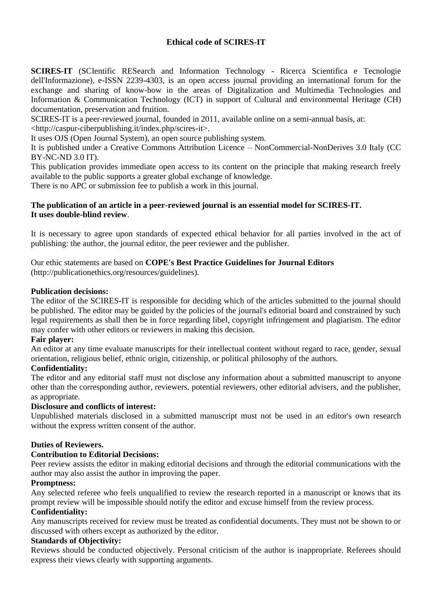# **Ethical code of SCIRES-IT**

**SCIRES-IT** (SCIentific RESearch and Information Technology - Ricerca Scientifica e Tecnologie dell'Informazione), e-ISSN 2239-4303, is an open access journal providing an international forum for the exchange and sharing of know-how in the areas of Digitalization and Multimedia Technologies and Information & Communication Technology (ICT) in support of Cultural and environmental Heritage (CH) documentation, preservation and fruition.

SCIRES-IT is a peer-reviewed journal, founded in 2011, available online on a semi-annual basis, at:

[<http://caspur-ciberpublishing.it/index.php/scires-it>](http://caspur-ciberpublishing.it/index.php/scires-it).

It uses OJS (Open Journal System), an open source publishing system.

It is published under a Creative Commons Attribution Licence – NonCommercial-NonDerives 3.0 Italy [\(CC](http://creativecommons.org/licenses/by-nc-nd/3.0/it/)  [BY-NC-ND 3.0 IT\)](http://creativecommons.org/licenses/by-nc-nd/3.0/it/).

This publication provides immediate open access to its content on the principle that making research freely available to the public supports a greater global exchange of knowledge.

There is no APC or submission fee to publish a work in this journal.

### **The publication of an article in a peer-reviewed journal is an essential model for SCIRES-IT. It uses double-blind review**.

It is necessary to agree upon standards of expected ethical behavior for all parties involved in the act of publishing: the author, the journal editor, the peer reviewer and the publisher.

Our ethic statements are based on **COPE's Best Practice Guidelines for Journal Editors** (http://publicationethics.org/resources/guidelines).

### **Publication decisions:**

The editor of the SCIRES-IT is responsible for deciding which of the articles submitted to the journal should be published. The editor may be guided by the policies of the journal's editorial board and constrained by such legal requirements as shall then be in force regarding libel, copyright infringement and plagiarism. The editor may confer with other editors or reviewers in making this decision.

### **Fair player:**

An editor at any time evaluate manuscripts for their intellectual content without regard to race, gender, sexual orientation, religious belief, ethnic origin, citizenship, or political philosophy of the authors.

# **Confidentiality:**

The editor and any editorial staff must not disclose any information about a submitted manuscript to anyone other than the corresponding author, reviewers, potential reviewers, other editorial advisers, and the publisher, as appropriate.

#### **Disclosure and conflicts of interest:**

Unpublished materials disclosed in a submitted manuscript must not be used in an editor's own research without the express written consent of the author.

### **Duties of Reviewers.**

### **Contribution to Editorial Decisions:**

Peer review assists the editor in making editorial decisions and through the editorial communications with the author may also assist the author in improving the paper.

### **Promptness:**

Any selected referee who feels unqualified to review the research reported in a manuscript or knows that its prompt review will be impossible should notify the editor and excuse himself from the review process.

### **Confidentiality:**

Any manuscripts received for review must be treated as confidential documents. They must not be shown to or discussed with others except as authorized by the editor.

#### **Standards of Objectivity:**

Reviews should be conducted objectively. Personal criticism of the author is inappropriate. Referees should express their views clearly with supporting arguments.